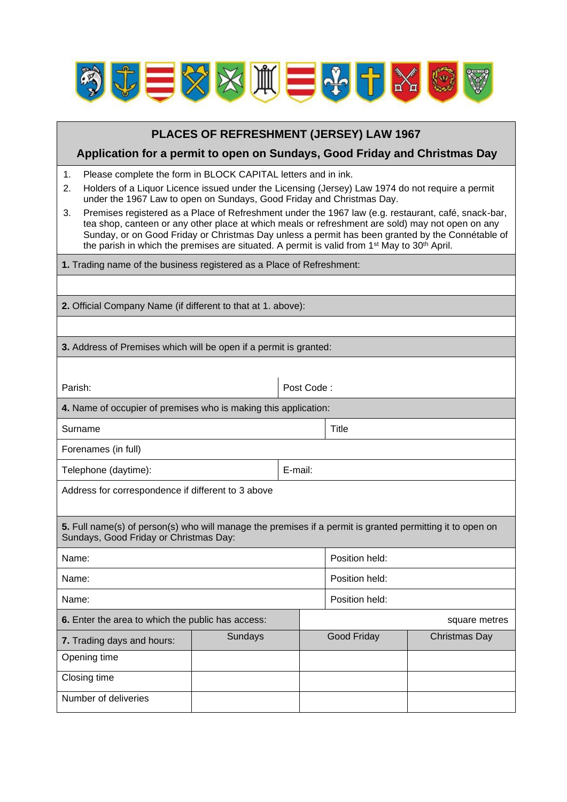

| PLACES OF REFRESHMENT (JERSEY) LAW 1967                                                                                                                                                                                                                                                                                                                                                                                                                                                                                                                                                                                                                                                             |            |                |             |               |  |
|-----------------------------------------------------------------------------------------------------------------------------------------------------------------------------------------------------------------------------------------------------------------------------------------------------------------------------------------------------------------------------------------------------------------------------------------------------------------------------------------------------------------------------------------------------------------------------------------------------------------------------------------------------------------------------------------------------|------------|----------------|-------------|---------------|--|
| Application for a permit to open on Sundays, Good Friday and Christmas Day                                                                                                                                                                                                                                                                                                                                                                                                                                                                                                                                                                                                                          |            |                |             |               |  |
| Please complete the form in BLOCK CAPITAL letters and in ink.<br>1.<br>Holders of a Liquor Licence issued under the Licensing (Jersey) Law 1974 do not require a permit<br>2.<br>under the 1967 Law to open on Sundays, Good Friday and Christmas Day.<br>Premises registered as a Place of Refreshment under the 1967 law (e.g. restaurant, café, snack-bar,<br>3.<br>tea shop, canteen or any other place at which meals or refreshment are sold) may not open on any<br>Sunday, or on Good Friday or Christmas Day unless a permit has been granted by the Connétable of<br>the parish in which the premises are situated. A permit is valid from 1 <sup>st</sup> May to 30 <sup>th</sup> April. |            |                |             |               |  |
| 1. Trading name of the business registered as a Place of Refreshment:                                                                                                                                                                                                                                                                                                                                                                                                                                                                                                                                                                                                                               |            |                |             |               |  |
|                                                                                                                                                                                                                                                                                                                                                                                                                                                                                                                                                                                                                                                                                                     |            |                |             |               |  |
| 2. Official Company Name (if different to that at 1. above):                                                                                                                                                                                                                                                                                                                                                                                                                                                                                                                                                                                                                                        |            |                |             |               |  |
|                                                                                                                                                                                                                                                                                                                                                                                                                                                                                                                                                                                                                                                                                                     |            |                |             |               |  |
| 3. Address of Premises which will be open if a permit is granted:                                                                                                                                                                                                                                                                                                                                                                                                                                                                                                                                                                                                                                   |            |                |             |               |  |
|                                                                                                                                                                                                                                                                                                                                                                                                                                                                                                                                                                                                                                                                                                     |            |                |             |               |  |
| Parish:                                                                                                                                                                                                                                                                                                                                                                                                                                                                                                                                                                                                                                                                                             | Post Code: |                |             |               |  |
| 4. Name of occupier of premises who is making this application:                                                                                                                                                                                                                                                                                                                                                                                                                                                                                                                                                                                                                                     |            |                |             |               |  |
| Surname                                                                                                                                                                                                                                                                                                                                                                                                                                                                                                                                                                                                                                                                                             |            |                | Title       |               |  |
| Forenames (in full)                                                                                                                                                                                                                                                                                                                                                                                                                                                                                                                                                                                                                                                                                 |            |                |             |               |  |
| Telephone (daytime):                                                                                                                                                                                                                                                                                                                                                                                                                                                                                                                                                                                                                                                                                |            | E-mail:        |             |               |  |
| Address for correspondence if different to 3 above                                                                                                                                                                                                                                                                                                                                                                                                                                                                                                                                                                                                                                                  |            |                |             |               |  |
| 5. Full name(s) of person(s) who will manage the premises if a permit is granted permitting it to open on<br>Sundays, Good Friday or Christmas Day:                                                                                                                                                                                                                                                                                                                                                                                                                                                                                                                                                 |            |                |             |               |  |
| Name:                                                                                                                                                                                                                                                                                                                                                                                                                                                                                                                                                                                                                                                                                               |            | Position held: |             |               |  |
| Name:                                                                                                                                                                                                                                                                                                                                                                                                                                                                                                                                                                                                                                                                                               |            | Position held: |             |               |  |
| Name:                                                                                                                                                                                                                                                                                                                                                                                                                                                                                                                                                                                                                                                                                               |            | Position held: |             |               |  |
| 6. Enter the area to which the public has access:                                                                                                                                                                                                                                                                                                                                                                                                                                                                                                                                                                                                                                                   |            |                |             | square metres |  |
| 7. Trading days and hours:                                                                                                                                                                                                                                                                                                                                                                                                                                                                                                                                                                                                                                                                          | Sundays    |                | Good Friday | Christmas Day |  |
| Opening time                                                                                                                                                                                                                                                                                                                                                                                                                                                                                                                                                                                                                                                                                        |            |                |             |               |  |
| Closing time                                                                                                                                                                                                                                                                                                                                                                                                                                                                                                                                                                                                                                                                                        |            |                |             |               |  |
| Number of deliveries                                                                                                                                                                                                                                                                                                                                                                                                                                                                                                                                                                                                                                                                                |            |                |             |               |  |